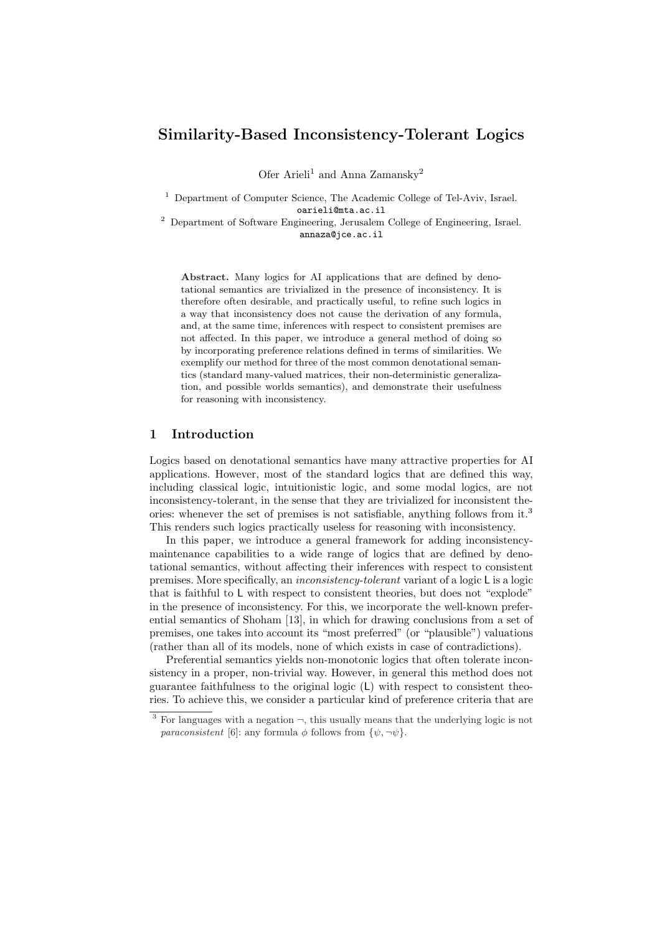# Similarity-Based Inconsistency-Tolerant Logics

Ofer Arieli<sup>1</sup> and Anna Zamansky<sup>2</sup>

<sup>1</sup> Department of Computer Science, The Academic College of Tel-Aviv, Israel. oarieli@mta.ac.il

<sup>2</sup> Department of Software Engineering, Jerusalem College of Engineering, Israel. annaza@jce.ac.il

Abstract. Many logics for AI applications that are defined by denotational semantics are trivialized in the presence of inconsistency. It is therefore often desirable, and practically useful, to refine such logics in a way that inconsistency does not cause the derivation of any formula, and, at the same time, inferences with respect to consistent premises are not affected. In this paper, we introduce a general method of doing so by incorporating preference relations defined in terms of similarities. We exemplify our method for three of the most common denotational semantics (standard many-valued matrices, their non-deterministic generalization, and possible worlds semantics), and demonstrate their usefulness for reasoning with inconsistency.

# 1 Introduction

Logics based on denotational semantics have many attractive properties for AI applications. However, most of the standard logics that are defined this way, including classical logic, intuitionistic logic, and some modal logics, are not inconsistency-tolerant, in the sense that they are trivialized for inconsistent theories: whenever the set of premises is not satisfiable, anything follows from it.<sup>3</sup> This renders such logics practically useless for reasoning with inconsistency.

In this paper, we introduce a general framework for adding inconsistencymaintenance capabilities to a wide range of logics that are defined by denotational semantics, without affecting their inferences with respect to consistent premises. More specifically, an inconsistency-tolerant variant of a logic L is a logic that is faithful to L with respect to consistent theories, but does not "explode" in the presence of inconsistency. For this, we incorporate the well-known preferential semantics of Shoham [13], in which for drawing conclusions from a set of premises, one takes into account its "most preferred" (or "plausible") valuations (rather than all of its models, none of which exists in case of contradictions).

Preferential semantics yields non-monotonic logics that often tolerate inconsistency in a proper, non-trivial way. However, in general this method does not guarantee faithfulness to the original logic (L) with respect to consistent theories. To achieve this, we consider a particular kind of preference criteria that are

<sup>&</sup>lt;sup>3</sup> For languages with a negation  $\neg$ , this usually means that the underlying logic is not *paraconsistent* [6]: any formula  $\phi$  follows from  $\{\psi, \neg \psi\}.$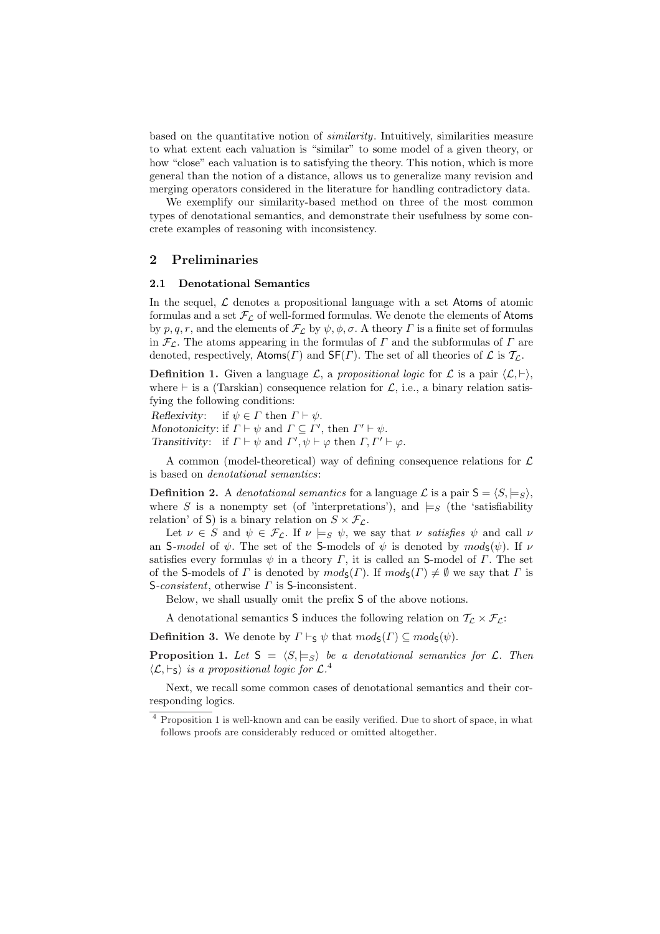based on the quantitative notion of similarity. Intuitively, similarities measure to what extent each valuation is "similar" to some model of a given theory, or how "close" each valuation is to satisfying the theory. This notion, which is more general than the notion of a distance, allows us to generalize many revision and merging operators considered in the literature for handling contradictory data.

We exemplify our similarity-based method on three of the most common types of denotational semantics, and demonstrate their usefulness by some concrete examples of reasoning with inconsistency.

### 2 Preliminaries

#### 2.1 Denotational Semantics

In the sequel,  $\mathcal L$  denotes a propositional language with a set Atoms of atomic formulas and a set  $\mathcal{F}_{\mathcal{L}}$  of well-formed formulas. We denote the elements of Atoms by p, q, r, and the elements of  $\mathcal{F}_{\mathcal{L}}$  by  $\psi$ ,  $\phi$ ,  $\sigma$ . A theory  $\Gamma$  is a finite set of formulas in  $\mathcal{F}_{\mathcal{L}}$ . The atoms appearing in the formulas of  $\Gamma$  and the subformulas of  $\Gamma$  are denoted, respectively,  $\mathsf{Atoms}(F)$  and  $\mathsf{SF}(F)$ . The set of all theories of  $\mathcal L$  is  $\mathcal T_{\mathcal L}$ .

**Definition 1.** Given a language  $\mathcal{L}$ , a propositional logic for  $\mathcal{L}$  is a pair  $\langle \mathcal{L}, \vdash \rangle$ , where  $\vdash$  is a (Tarskian) consequence relation for  $\mathcal{L}$ , i.e., a binary relation satisfying the following conditions:

Reflexivity: if  $\psi \in \Gamma$  then  $\Gamma \vdash \psi$ . Monotonicity: if  $\Gamma \vdash \psi$  and  $\Gamma \subseteq \Gamma'$ , then  $\Gamma' \vdash \psi$ . Transitivity: if  $\Gamma \vdash \psi$  and  $\Gamma', \psi \vdash \varphi$  then  $\Gamma, \Gamma' \vdash \varphi$ .

A common (model-theoretical) way of defining consequence relations for  $\mathcal L$ is based on denotational semantics:

**Definition 2.** A denotational semantics for a language  $\mathcal{L}$  is a pair  $S = \langle S, \models_S \rangle$ , where S is a nonempty set (of 'interpretations'), and  $\models$  (the 'satisfiability relation' of S) is a binary relation on  $S \times \mathcal{F}_L$ .

Let  $\nu \in S$  and  $\psi \in \mathcal{F}_{\mathcal{L}}$ . If  $\nu \models_S \psi$ , we say that  $\nu$  satisfies  $\psi$  and call  $\nu$ an S-model of  $\psi$ . The set of the S-models of  $\psi$  is denoted by  $mod_{\mathsf{S}}(\psi)$ . If  $\nu$ satisfies every formulas  $\psi$  in a theory  $\Gamma$ , it is called an S-model of  $\Gamma$ . The set of the S-models of  $\Gamma$  is denoted by  $mod_{S}(\Gamma)$ . If  $mod_{S}(\Gamma) \neq \emptyset$  we say that  $\Gamma$  is S-consistent, otherwise Γ is S-inconsistent.

Below, we shall usually omit the prefix S of the above notions.

A denotational semantics S induces the following relation on  $T_c \times \mathcal{F}_c$ :

**Definition 3.** We denote by  $\Gamma \vdash_{\mathsf{S}} \psi$  that  $mod_{\mathsf{S}}(\Gamma) \subseteq mod_{\mathsf{S}}(\psi)$ .

**Proposition 1.** Let  $S = \langle S, \models_S \rangle$  be a denotational semantics for L. Then  $\langle \mathcal{L}, \vdash_{\mathsf{S}} \rangle$  is a propositional logic for  $\mathcal{L}.^4$ 

Next, we recall some common cases of denotational semantics and their corresponding logics.

<sup>4</sup> Proposition 1 is well-known and can be easily verified. Due to short of space, in what follows proofs are considerably reduced or omitted altogether.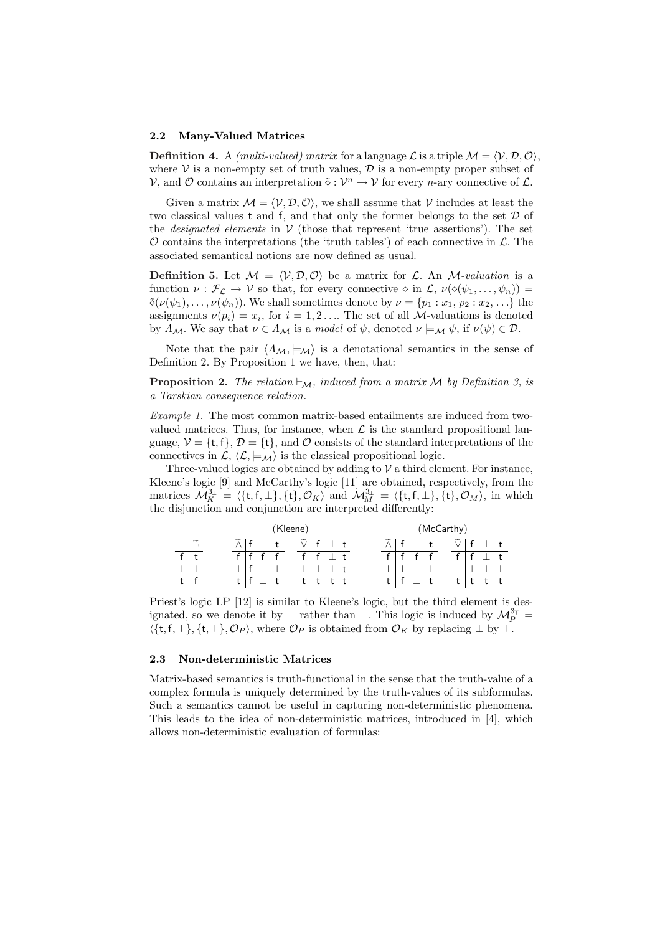#### 2.2 Many-Valued Matrices

**Definition 4.** A *(multi-valued) matrix* for a language  $\mathcal{L}$  is a triple  $\mathcal{M} = \langle \mathcal{V}, \mathcal{D}, \mathcal{O} \rangle$ , where  $V$  is a non-empty set of truth values,  $D$  is a non-empty proper subset of  $\mathcal{V}$ , and  $\mathcal O$  contains an interpretation  $\tilde{\diamond}: \mathcal{V}^n \to \mathcal{V}$  for every *n*-ary connective of  $\mathcal L$ .

Given a matrix  $\mathcal{M} = \langle \mathcal{V}, \mathcal{D}, \mathcal{O} \rangle$ , we shall assume that V includes at least the two classical values  $t$  and  $f$ , and that only the former belongs to the set  $D$  of the *designated elements* in  $V$  (those that represent 'true assertions'). The set  $\mathcal O$  contains the interpretations (the 'truth tables') of each connective in  $\mathcal L$ . The associated semantical notions are now defined as usual.

**Definition 5.** Let  $M = \langle V, \mathcal{D}, \mathcal{O} \rangle$  be a matrix for L. An M-valuation is a function  $\nu : \mathcal{F}_\mathcal{L} \to \mathcal{V}$  so that, for every connective  $\diamond$  in  $\mathcal{L}, \nu(\diamond(\psi_1, \ldots, \psi_n)) =$  $\tilde{\diamond}(\nu(\psi_1), \ldots, \nu(\psi_n)).$  We shall sometimes denote by  $\nu = \{p_1 : x_1, p_2 : x_2, \ldots\}$  the assignments  $\nu(p_i) = x_i$ , for  $i = 1, 2, \ldots$  The set of all *M*-valuations is denoted by  $\Lambda_{\mathcal{M}}$ . We say that  $\nu \in \Lambda_{\mathcal{M}}$  is a model of  $\psi$ , denoted  $\nu \models_{\mathcal{M}} \psi$ , if  $\nu(\psi) \in \mathcal{D}$ .

Note that the pair  $\langle \Lambda_M, \models_M \rangle$  is a denotational semantics in the sense of Definition 2. By Proposition 1 we have, then, that:

**Proposition 2.** The relation  $\vdash_M$ , induced from a matrix M by Definition 3, is a Tarskian consequence relation.

Example 1. The most common matrix-based entailments are induced from twovalued matrices. Thus, for instance, when  $\mathcal L$  is the standard propositional language,  $V = \{t, f\}$ ,  $D = \{t\}$ , and  $\mathcal O$  consists of the standard interpretations of the connectives in  $\mathcal{L}, \langle \mathcal{L}, \models_{\mathcal{M}} \rangle$  is the classical propositional logic.

Three-valued logics are obtained by adding to  $\mathcal V$  a third element. For instance, Kleene's logic [9] and McCarthy's logic [11] are obtained, respectively, from the matrices  $\mathcal{M}_K^{3_\perp} = \langle \{\mathsf{t}, \mathsf{f}, \perp\}, \{\mathsf{t}\}, \mathcal{O}_K \rangle$  and  $\mathcal{M}_M^{3_\perp} = \langle \{\mathsf{t}, \mathsf{f}, \perp\}, \{\mathsf{t}\}, \mathcal{O}_M \rangle$ , in which the disjunction and conjunction are interpreted differently:

|                                                 | (Kleene)             |  |  |                   |  |                            |                                                                   |  |  |                   |  | (McCarthy) |  |                   |  |  |  |                                        |                                                             |  |  |
|-------------------------------------------------|----------------------|--|--|-------------------|--|----------------------------|-------------------------------------------------------------------|--|--|-------------------|--|------------|--|-------------------|--|--|--|----------------------------------------|-------------------------------------------------------------|--|--|
|                                                 | $\tilde{=}$          |  |  |                   |  |                            | $\widetilde{\wedge}$  f $\perp$ t $\widetilde{\vee}$  f $\perp$ t |  |  |                   |  |            |  |                   |  |  |  |                                        | $\tilde{\wedge}$   f $\perp$ t $\tilde{\vee}$   f $\perp$ t |  |  |
|                                                 | $f\vert\overline{t}$ |  |  |                   |  | $f \mid f \mid f \mid f$   |                                                                   |  |  | $f$ $f$ $\perp$ t |  |            |  | $f$ if f f        |  |  |  |                                        | $f$ $f$ $\perp$ t                                           |  |  |
|                                                 |                      |  |  |                   |  | $\perp$ If $\perp$ $\perp$ |                                                                   |  |  | $\Box$            |  |            |  | $\pm 1 \pm 1$     |  |  |  | $\mathbf{I}$ $\mathbf{I}$ $\mathbf{I}$ |                                                             |  |  |
| $\frac{\perp}{t}\left  \frac{\perp}{f} \right $ |                      |  |  | $t$   f $\perp$ t |  |                            |                                                                   |  |  | tttt              |  |            |  | $t$   f $\perp$ t |  |  |  |                                        | $t \mid t \mid t \mid t$                                    |  |  |

Priest's logic LP [12] is similar to Kleene's logic, but the third element is designated, so we denote it by  $\top$  rather than  $\bot$ . This logic is induced by  $\mathcal{M}_{P}^{3\top} =$  $\langle \{\mathsf{t}, \mathsf{f}, \top\}, \{\mathsf{t}, \top\}, \mathcal{O}_P \rangle$ , where  $\mathcal{O}_P$  is obtained from  $\mathcal{O}_K$  by replacing  $\bot$  by  $\top$ .

#### 2.3 Non-deterministic Matrices

Matrix-based semantics is truth-functional in the sense that the truth-value of a complex formula is uniquely determined by the truth-values of its subformulas. Such a semantics cannot be useful in capturing non-deterministic phenomena. This leads to the idea of non-deterministic matrices, introduced in [4], which allows non-deterministic evaluation of formulas: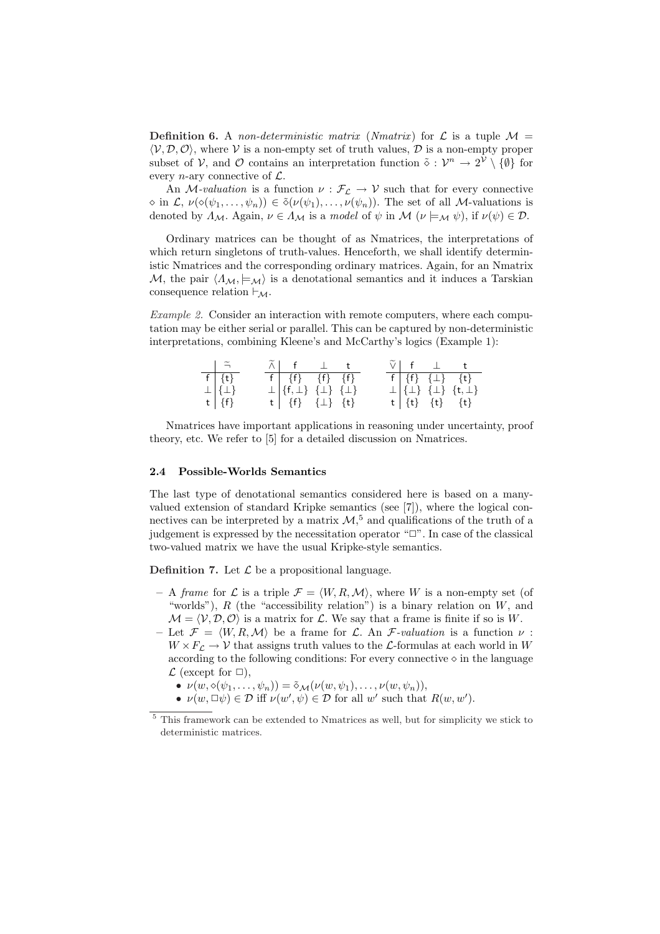**Definition 6.** A non-deterministic matrix (Nmatrix) for  $\mathcal{L}$  is a tuple  $\mathcal{M} =$  $\langle V, \mathcal{D}, \mathcal{O} \rangle$ , where V is a non-empty set of truth values,  $\mathcal{D}$  is a non-empty proper subset of V, and O contains an interpretation function  $\tilde{\diamond}: \mathcal{V}^n \to 2^{\mathcal{V}} \setminus {\emptyset}$  for every *n*-ary connective of  $\mathcal{L}$ .

An M-valuation is a function  $\nu : \mathcal{F}_\mathcal{L} \to \mathcal{V}$  such that for every connective  $\phi$  in  $\mathcal{L}, \nu(\phi(\psi_1, \ldots, \psi_n)) \in \tilde{\phi}(\nu(\psi_1), \ldots, \nu(\psi_n)).$  The set of all *M*-valuations is denoted by  $\Lambda_{\mathcal{M}}$ . Again,  $\nu \in \Lambda_{\mathcal{M}}$  is a model of  $\psi$  in  $\mathcal{M}$   $(\nu \models_{\mathcal{M}} \psi)$ , if  $\nu(\psi) \in \mathcal{D}$ .

Ordinary matrices can be thought of as Nmatrices, the interpretations of which return singletons of truth-values. Henceforth, we shall identify deterministic Nmatrices and the corresponding ordinary matrices. Again, for an Nmatrix M, the pair  $\langle \Lambda_M, \models_{\mathcal{M}} \rangle$  is a denotational semantics and it induces a Tarskian consequence relation  $\vdash_{\mathcal{M}}$ .

Example 2. Consider an interaction with remote computers, where each computation may be either serial or parallel. This can be captured by non-deterministic interpretations, combining Kleene's and McCarthy's logics (Example 1):

| $\sim$ $\sim$ $\sim$ |  | $\tilde{\wedge}$ f $\perp$ t                                           |  |  | V <sup>i</sup> f ⊥ t |                                                               |
|----------------------|--|------------------------------------------------------------------------|--|--|----------------------|---------------------------------------------------------------|
| $f$ {t}              |  | $f \{f\} \{f\}$                                                        |  |  |                      | $f {f} {f} {L}$                                               |
| $\perp$ $\perp$      |  | $\perp \left  \{ \mathsf{f}, \perp \} \right  \{ \perp \} \{ \perp \}$ |  |  |                      | $\perp \left  \{ \perp \} \right  \{ \perp \} \{ t, \perp \}$ |
| t $\{f\}$            |  | t $\{f\}$ $\{\perp\}$ $\{t\}$                                          |  |  |                      | $t   {t} {t}$ {t} {t}                                         |

Nmatrices have important applications in reasoning under uncertainty, proof theory, etc. We refer to [5] for a detailed discussion on Nmatrices.

#### 2.4 Possible-Worlds Semantics

The last type of denotational semantics considered here is based on a manyvalued extension of standard Kripke semantics (see [7]), where the logical connectives can be interpreted by a matrix  $\mathcal{M}$ <sup>5</sup>, and qualifications of the truth of a judgement is expressed by the necessitation operator " $\Box$ ". In case of the classical two-valued matrix we have the usual Kripke-style semantics.

**Definition 7.** Let  $\mathcal{L}$  be a propositional language.

- A frame for L is a triple  $\mathcal{F} = \langle W, R, \mathcal{M} \rangle$ , where W is a non-empty set (of "worlds"), R (the "accessibility relation") is a binary relation on  $W$ , and  $\mathcal{M} = \langle \mathcal{V}, \mathcal{D}, \mathcal{O} \rangle$  is a matrix for L. We say that a frame is finite if so is W.
- Let  $\mathcal{F} = \langle W, R, \mathcal{M} \rangle$  be a frame for L. An F-valuation is a function  $\nu$ :  $W \times F_{\mathcal{L}} \to V$  that assigns truth values to the *L*-formulas at each world in W according to the following conditions: For every connective  $\diamond$  in the language  $\mathcal L$  (except for  $\Box$ ),
	- $\nu(w, \diamond(\psi_1, \ldots, \psi_n)) = \tilde{\diamond}_{\mathcal{M}}(\nu(w, \psi_1), \ldots, \nu(w, \psi_n)),$
	- $\nu(w, \Box \psi) \in \mathcal{D}$  iff  $\nu(w', \psi) \in \mathcal{D}$  for all w' such that  $R(w, w')$ .

<sup>5</sup> This framework can be extended to Nmatrices as well, but for simplicity we stick to deterministic matrices.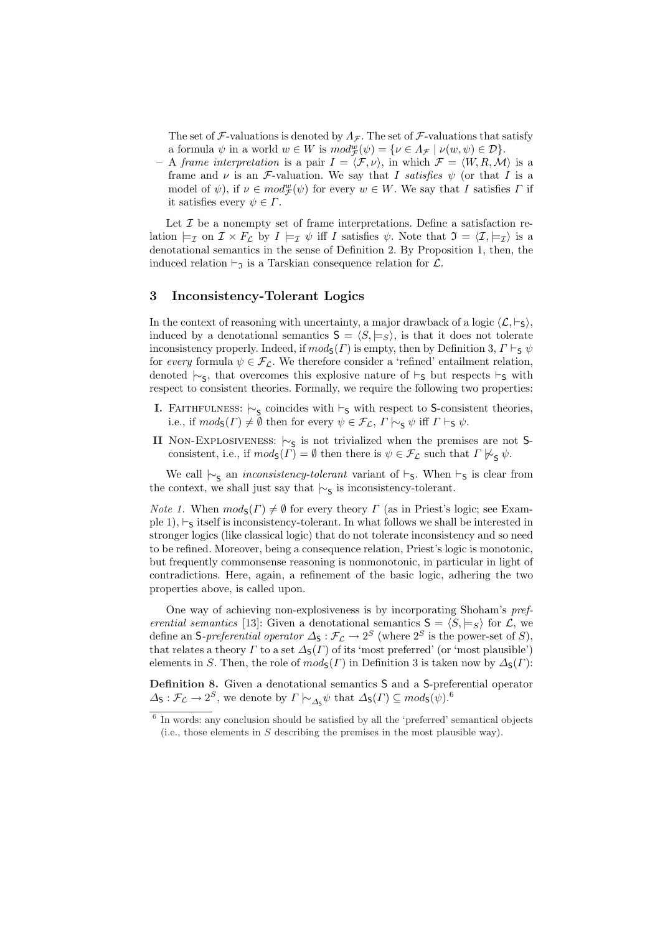The set of F-valuations is denoted by  $\Lambda_{\mathcal{F}}$ . The set of F-valuations that satisfy a formula  $\psi$  in a world  $w \in W$  is  $mod_{\mathcal{F}}^w(\psi) = \{ \nu \in \Lambda_{\mathcal{F}} \mid \nu(w, \psi) \in \mathcal{D} \}.$ 

– A frame interpretation is a pair  $I = \langle \mathcal{F}, \nu \rangle$ , in which  $\mathcal{F} = \langle W, R, \mathcal{M} \rangle$  is a frame and  $\nu$  is an *F*-valuation. We say that I satisfies  $\psi$  (or that I is a model of  $\psi$ ), if  $\nu \in mod_{\mathcal{F}}^w(\psi)$  for every  $w \in W$ . We say that I satisfies  $\Gamma$  if it satisfies every  $\psi \in \Gamma$ .

Let  $\mathcal I$  be a nonempty set of frame interpretations. Define a satisfaction relation  $\models_{\mathcal{I}}$  on  $\mathcal{I} \times F_{\mathcal{L}}$  by  $I \models_{\mathcal{I}} \psi$  iff I satisfies  $\psi$ . Note that  $\mathcal{I} = \langle \mathcal{I}, \models_{\mathcal{I}} \rangle$  is a denotational semantics in the sense of Definition 2. By Proposition 1, then, the induced relation  $\vdash_{\mathfrak{I}}$  is a Tarskian consequence relation for  $\mathcal{L}$ .

# 3 Inconsistency-Tolerant Logics

In the context of reasoning with uncertainty, a major drawback of a logic  $\langle \mathcal{L}, \vdash_{\mathsf{S}} \rangle$ , induced by a denotational semantics  $S = \langle S, \models_S \rangle$ , is that it does not tolerate inconsistency properly. Indeed, if  $mod_S(\Gamma)$  is empty, then by Definition 3,  $\Gamma \vdash_S \psi$ for every formula  $\psi \in \mathcal{F}_{\mathcal{L}}$ . We therefore consider a 'refined' entailment relation, denoted  $\vdash$ <sub>S</sub>, that overcomes this explosive nature of  $\vdash$ <sub>S</sub> but respects  $\vdash$ <sub>S</sub> with respect to consistent theories. Formally, we require the following two properties:

- I. FAITHFULNESS:  $\vdash_{\mathsf{S}}$  coincides with  $\vdash_{\mathsf{S}}$  with respect to S-consistent theories, i.e., if  $mod_{\mathsf{S}}(\Gamma) \neq \emptyset$  then for every  $\psi \in \mathcal{F}_{\mathcal{L}}, \Gamma \models_{\mathsf{S}} \psi$  iff  $\Gamma \vdash_{\mathsf{S}} \psi$ .
- II NON-EXPLOSIVENESS:  $\vdash_{\mathsf{S}}$  is not trivialized when the premises are not Sconsistent, i.e., if  $mod_S(\overline{\Gamma}) = \emptyset$  then there is  $\psi \in \mathcal{F}_\mathcal{L}$  such that  $\Gamma \not\sim_S \psi$ .

We call  $\sim$ <sub>S</sub> an *inconsistency-tolerant* variant of  $\vdash$ <sub>S</sub>. When  $\vdash$ <sub>S</sub> is clear from the context, we shall just say that  $\vdash_{\mathsf{S}}$  is inconsistency-tolerant.

*Note 1.* When  $mod_{S}(\Gamma) \neq \emptyset$  for every theory  $\Gamma$  (as in Priest's logic; see Example 1),  $\vdash$  itself is inconsistency-tolerant. In what follows we shall be interested in stronger logics (like classical logic) that do not tolerate inconsistency and so need to be refined. Moreover, being a consequence relation, Priest's logic is monotonic, but frequently commonsense reasoning is nonmonotonic, in particular in light of contradictions. Here, again, a refinement of the basic logic, adhering the two properties above, is called upon.

One way of achieving non-explosiveness is by incorporating Shoham's preferential semantics [13]: Given a denotational semantics  $S = \langle S, \models_S \rangle$  for  $\mathcal{L}$ , we define an S-preferential operator  $\Delta_{\mathsf{S}} : \mathcal{F}_\mathcal{L} \to 2^S$  (where  $2^S$  is the power-set of S), that relates a theory  $\Gamma$  to a set  $\Delta_{\mathsf{S}}(\Gamma)$  of its 'most preferred' (or 'most plausible') elements in S. Then, the role of  $mod_S(\Gamma)$  in Definition 3 is taken now by  $\Delta_S(\Gamma)$ :

Definition 8. Given a denotational semantics S and a S-preferential operator  $\Delta_{\mathsf{S}} : \mathcal{F}_{\mathcal{L}} \to 2^S$ , we denote by  $\Gamma \vdash_{\Delta_{\mathsf{S}}} \psi$  that  $\Delta_{\mathsf{S}}(\Gamma) \subseteq mod_{\mathsf{S}}(\psi)$ .<sup>6</sup>

<sup>&</sup>lt;sup>6</sup> In words: any conclusion should be satisfied by all the 'preferred' semantical objects (i.e., those elements in S describing the premises in the most plausible way).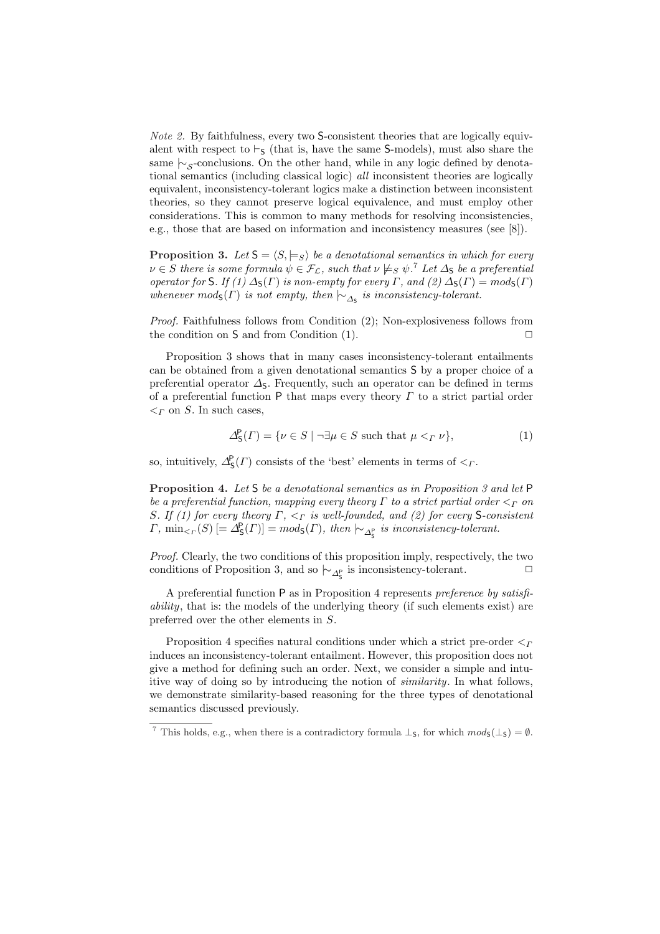Note 2. By faithfulness, every two S-consistent theories that are logically equivalent with respect to  $\vdash_S$  (that is, have the same S-models), must also share the same  $\sim$ <sub>S</sub>-conclusions. On the other hand, while in any logic defined by denotational semantics (including classical logic) all inconsistent theories are logically equivalent, inconsistency-tolerant logics make a distinction between inconsistent theories, so they cannot preserve logical equivalence, and must employ other considerations. This is common to many methods for resolving inconsistencies, e.g., those that are based on information and inconsistency measures (see [8]).

**Proposition 3.** Let  $S = \langle S, \models_S \rangle$  be a denotational semantics in which for every  $\nu \in S$  there is some formula  $\psi \in \mathcal{F}_\mathcal{L}$ , such that  $\nu \nvDash_S \psi$ .<sup>7</sup> Let  $\Delta_S$  be a preferential operator for S. If (1)  $\Delta_{\mathsf{S}}(\Gamma)$  is non-empty for every  $\Gamma$ , and (2)  $\Delta_{\mathsf{S}}(\Gamma) = mod_{\mathsf{S}}(\Gamma)$ whenever  $mod_{\mathsf{S}}(\Gamma)$  is not empty, then  $\vdash_{\Delta_{\mathsf{S}}}$  is inconsistency-tolerant.

Proof. Faithfulness follows from Condition (2); Non-explosiveness follows from the condition on S and from Condition  $(1)$ .

Proposition 3 shows that in many cases inconsistency-tolerant entailments can be obtained from a given denotational semantics S by a proper choice of a preferential operator  $\Delta$ <sub>S</sub>. Frequently, such an operator can be defined in terms of a preferential function P that maps every theory  $\Gamma$  to a strict partial order  $\leq r$  on S. In such cases,

$$
\Delta_S^{\mathsf{P}}(\Gamma) = \{ \nu \in S \mid \neg \exists \mu \in S \text{ such that } \mu <_{\Gamma} \nu \},\tag{1}
$$

so, intuitively,  $\Delta_S^{\mathsf{P}}(\Gamma)$  consists of the 'best' elements in terms of  $\langle \Gamma \rangle$ .

Proposition 4. Let S be a denotational semantics as in Proposition 3 and let P be a preferential function, mapping every theory  $\Gamma$  to a strict partial order  $\leq_{\Gamma}$  on S. If (1) for every theory  $\Gamma$ ,  $\leq_{\Gamma}$  is well-founded, and (2) for every S-consistent  $\Gamma$ ,  $\min_{\leq r}(S)$   $[=\Delta_{\mathsf{S}}^{\mathsf{P}}(T)] = mod_{\mathsf{S}}(T)$ , then  $\vdash_{\Delta_{\mathsf{S}}^{\mathsf{P}}}$  is inconsistency-tolerant.

Proof. Clearly, the two conditions of this proposition imply, respectively, the two conditions of Proposition 3, and so  $\vdash_{\Delta^p_S}$  is inconsistency-tolerant.  $\Box$ 

A preferential function P as in Proposition 4 represents preference by satisfiability, that is: the models of the underlying theory (if such elements exist) are preferred over the other elements in S.

Proposition 4 specifies natural conditions under which a strict pre-order  $\leq r$ induces an inconsistency-tolerant entailment. However, this proposition does not give a method for defining such an order. Next, we consider a simple and intuitive way of doing so by introducing the notion of similarity. In what follows, we demonstrate similarity-based reasoning for the three types of denotational semantics discussed previously.

<sup>&</sup>lt;sup>7</sup> This holds, e.g., when there is a contradictory formula  $\perp$ <sub>5</sub>, for which  $mod_{5}(\perp_{5}) = \emptyset$ .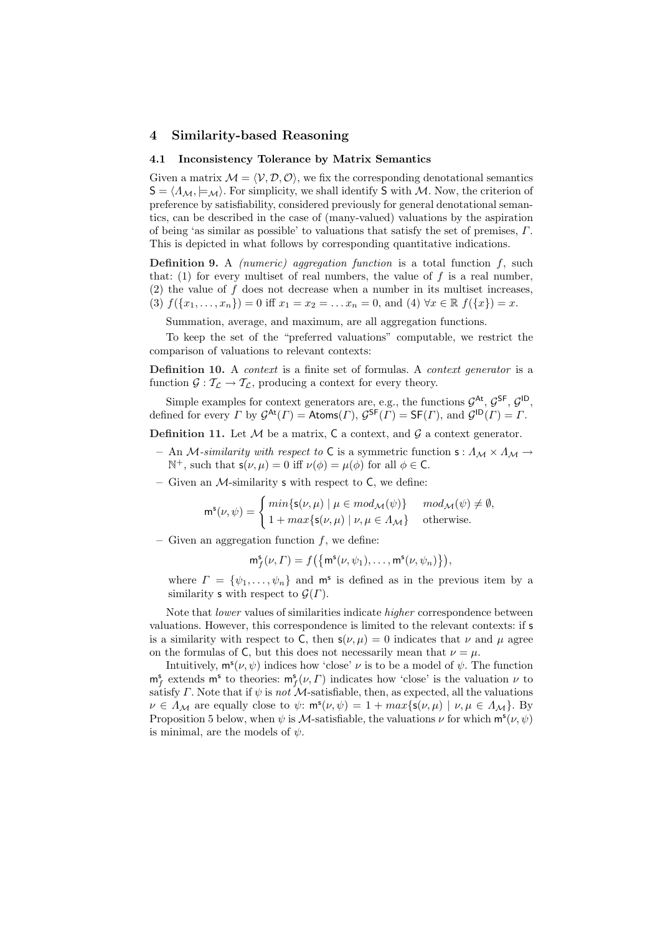### 4 Similarity-based Reasoning

#### 4.1 Inconsistency Tolerance by Matrix Semantics

Given a matrix  $\mathcal{M} = \langle \mathcal{V}, \mathcal{D}, \mathcal{O} \rangle$ , we fix the corresponding denotational semantics  $S = \langle \Lambda_M, \models_M \rangle$ . For simplicity, we shall identify S with M. Now, the criterion of preference by satisfiability, considered previously for general denotational semantics, can be described in the case of (many-valued) valuations by the aspiration of being 'as similar as possible' to valuations that satisfy the set of premises, Γ. This is depicted in what follows by corresponding quantitative indications.

**Definition 9.** A *(numeric) aggregation function* is a total function  $f$ , such that:  $(1)$  for every multiset of real numbers, the value of f is a real number,  $(2)$  the value of f does not decrease when a number in its multiset increases, (3)  $f(\{x_1, \ldots, x_n\}) = 0$  iff  $x_1 = x_2 = \ldots x_n = 0$ , and (4)  $\forall x \in \mathbb{R}$   $f(\{x\}) = x$ .

Summation, average, and maximum, are all aggregation functions.

To keep the set of the "preferred valuations" computable, we restrict the comparison of valuations to relevant contexts:

Definition 10. A *context* is a finite set of formulas. A *context generator* is a function  $\mathcal{G}: \mathcal{T}_{\mathcal{L}} \to \mathcal{T}_{\mathcal{L}}$ , producing a context for every theory.

Simple examples for context generators are, e.g., the functions  $\mathcal{G}^{At}$ ,  $\mathcal{G}^{SF}$ ,  $\mathcal{G}^{ID}$ , defined for every  $\Gamma$  by  $\mathcal{G}^{\text{At}}(\Gamma) = \text{Atoms}(\Gamma), \, \mathcal{G}^{\text{SF}}(\Gamma) = \text{SF}(\Gamma), \text{ and } \mathcal{G}^{\text{ID}}(\Gamma) = \Gamma.$ 

**Definition 11.** Let  $M$  be a matrix,  $C$  a context, and  $G$  a context generator.

- An M-similarity with respect to C is a symmetric function  $s: A_{\mathcal{M}} \times A_{\mathcal{M}} \rightarrow$  $\mathbb{N}^+$ , such that  $\mathsf{s}(\nu,\mu) = 0$  iff  $\nu(\phi) = \mu(\phi)$  for all  $\phi \in \mathsf{C}$ .
- Given an  $M$ -similarity **s** with respect to  $C$ , we define:

$$
\mathsf{m}^{\mathsf{s}}(\nu,\psi) = \begin{cases} \min\{\mathsf{s}(\nu,\mu) \mid \mu \in \mathsf{mod}_{\mathcal{M}}(\psi)\} & \mathsf{mod}_{\mathcal{M}}(\psi) \neq \emptyset, \\ 1 + \max\{\mathsf{s}(\nu,\mu) \mid \nu,\mu \in \Lambda_{\mathcal{M}}\} & \text{otherwise.} \end{cases}
$$

– Given an aggregation function  $f$ , we define:

$$
\mathsf{m}_f^{\mathsf{s}}(\nu, \Gamma) = f\big(\big\{\mathsf{m}^{\mathsf{s}}(\nu, \psi_1), \dots, \mathsf{m}^{\mathsf{s}}(\nu, \psi_n)\big\}\big),
$$

where  $\Gamma = {\psi_1, \ldots, \psi_n}$  and  $\mathsf{m}^s$  is defined as in the previous item by a similarity **s** with respect to  $\mathcal{G}(\Gamma)$ .

Note that lower values of similarities indicate higher correspondence between valuations. However, this correspondence is limited to the relevant contexts: if s is a similarity with respect to C, then  $s(\nu, \mu) = 0$  indicates that  $\nu$  and  $\mu$  agree on the formulas of C, but this does not necessarily mean that  $\nu = \mu$ .

Intuitively,  $m^s(\nu, \psi)$  indices how 'close'  $\nu$  is to be a model of  $\psi$ . The function  $\mathsf{m}_f^{\mathsf{s}}$  extends  $\mathsf{m}^{\mathsf{s}}$  to theories:  $\mathsf{m}_f^{\mathsf{s}}(\nu,\Gamma)$  indicates how 'close' is the valuation  $\nu$  to satisfy  $\Gamma$ . Note that if  $\psi$  is not M-satisfiable, then, as expected, all the valuations  $\nu \in \Lambda_{\mathcal{M}}$  are equally close to  $\psi$ :  $\mathsf{m}^{\mathsf{s}}(\nu, \psi) = 1 + \max{\{\mathsf{s}(\nu, \mu) \mid \nu, \mu \in \Lambda_{\mathcal{M}}\}}$ . By Proposition 5 below, when  $\psi$  is M-satisfiable, the valuations  $\nu$  for which  $m^s(\nu, \psi)$ is minimal, are the models of  $\psi$ .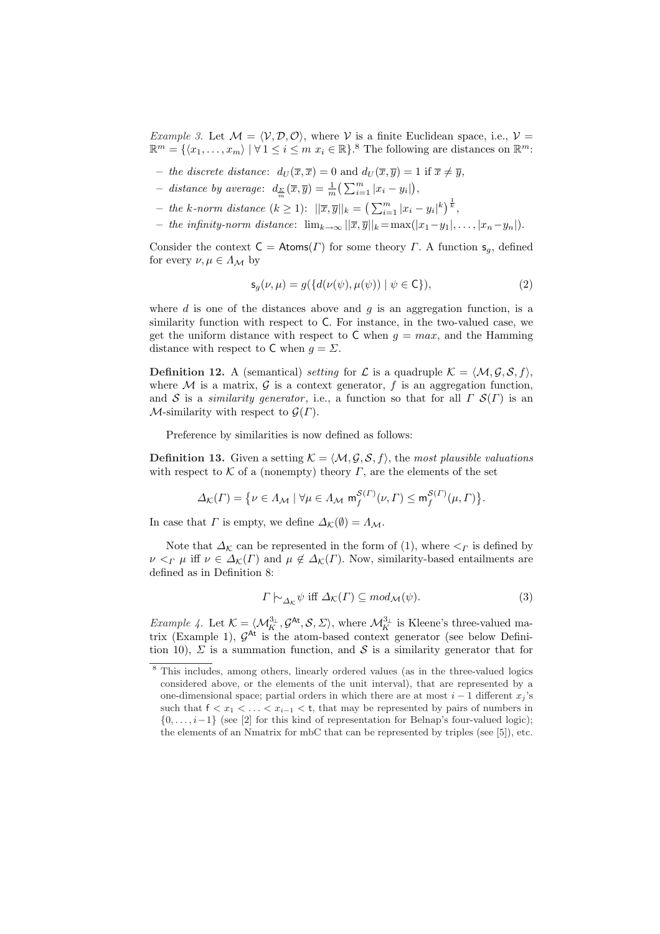*Example 3.* Let  $\mathcal{M} = \langle \mathcal{V}, \mathcal{D}, \mathcal{O} \rangle$ , where  $\mathcal{V}$  is a finite Euclidean space, i.e.,  $\mathcal{V} =$  $\mathbb{R}^m = \{ \langle x_1, \ldots, x_m \rangle \mid \forall 1 \leq i \leq m \ x_i \in \mathbb{R} \}$ .<sup>8</sup> The following are distances on  $\mathbb{R}^m$ :

- the discrete distance:  $d_U(\overline{x}, \overline{x}) = 0$  and  $d_U(\overline{x}, \overline{y}) = 1$  if  $\overline{x} \neq \overline{y}$ , ¢
- distance by average:  $d_{\frac{\Sigma}{m}}(\overline{x}, \overline{y}) = \frac{1}{m}$  $\sum_{m=1}^{\infty}$  $\sum_{i=1}^{m} |x_i - y_i|$
- the k-norm distance  $(k \geq 1)$ :  $||\overline{x}, \overline{y}||_k = \left(\sum_{i=1}^m |x_i y_i|^k\right)^{\frac{1}{k}}$ ,
- the infinity-norm distance:  $\lim_{k\to\infty} ||\overline{x}, \overline{y}||_k = \max(|x_1-y_1|, \ldots, |x_n-y_n|).$

Consider the context  $C = Atoms(\Gamma)$  for some theory  $\Gamma$ . A function  $s_q$ , defined for every  $\nu, \mu \in A_{\mathcal{M}}$  by

$$
\mathsf{s}_g(\nu,\mu) = g(\{d(\nu(\psi),\mu(\psi)) \mid \psi \in \mathsf{C}\}),\tag{2}
$$

,

where  $d$  is one of the distances above and  $g$  is an aggregation function, is a similarity function with respect to C. For instance, in the two-valued case, we get the uniform distance with respect to  $C$  when  $q = max$ , and the Hamming distance with respect to C when  $q = \Sigma$ .

**Definition 12.** A (semantical) setting for L is a quadruple  $K = \langle M, \mathcal{G}, \mathcal{S}, f \rangle$ , where  $\mathcal M$  is a matrix,  $\mathcal G$  is a context generator, f is an aggregation function, and S is a *similarity generator*, i.e., a function so that for all  $\Gamma S(\Gamma)$  is an M-similarity with respect to  $\mathcal{G}(\Gamma)$ .

Preference by similarities is now defined as follows:

**Definition 13.** Given a setting  $K = \langle M, \mathcal{G}, \mathcal{S}, f \rangle$ , the most plausible valuations with respect to  $K$  of a (nonempty) theory  $\Gamma$ , are the elements of the set

$$
\Delta_{\mathcal{K}}(\Gamma) = \{ \nu \in \Lambda_{\mathcal{M}} \mid \forall \mu \in \Lambda_{\mathcal{M}} \mathsf{m}_{f}^{\mathcal{S}(\Gamma)}(\nu, \Gamma) \leq \mathsf{m}_{f}^{\mathcal{S}(\Gamma)}(\mu, \Gamma) \}.
$$

In case that  $\Gamma$  is empty, we define  $\Delta_{\mathcal{K}}(\emptyset) = \Lambda_{\mathcal{M}}$ .

Note that  $\Delta_{\mathcal{K}}$  can be represented in the form of (1), where  $\leq_{\Gamma}$  is defined by  $\nu <_{\Gamma} \mu$  iff  $\nu \in \Delta_{\mathcal{K}}(\Gamma)$  and  $\mu \notin \Delta_{\mathcal{K}}(\Gamma)$ . Now, similarity-based entailments are defined as in Definition 8:

$$
\Gamma \hspace{0.2em}\sim_{\hspace{-0.2em}\sim} \hspace{0.2em} \sim \hspace{-0.2em} \mu \text{ iff } \Delta_{\mathcal{K}}(\Gamma) \subseteq \text{mod}_{\mathcal{M}}(\psi). \hspace{0.5em} (3)
$$

*Example 4.* Let  $K = \langle \mathcal{M}_K^{3_\perp}, \mathcal{G}^{At}, \mathcal{S}, \Sigma \rangle$ , where  $\mathcal{M}_K^{3_\perp}$  is Kleene's three-valued matrix (Example 1),  $\mathcal{G}^{\mathsf{At}}$  is the atom-based context generator (see below Definition 10),  $\Sigma$  is a summation function, and S is a similarity generator that for

<sup>8</sup> This includes, among others, linearly ordered values (as in the three-valued logics considered above, or the elements of the unit interval), that are represented by a one-dimensional space; partial orders in which there are at most  $i - 1$  different  $x_i$ 's such that  $f < x_1 < \ldots < x_{i-1} < t$ , that may be represented by pairs of numbers in  $\{0, \ldots, i-1\}$  (see [2] for this kind of representation for Belnap's four-valued logic); the elements of an Nmatrix for mbC that can be represented by triples (see [5]), etc.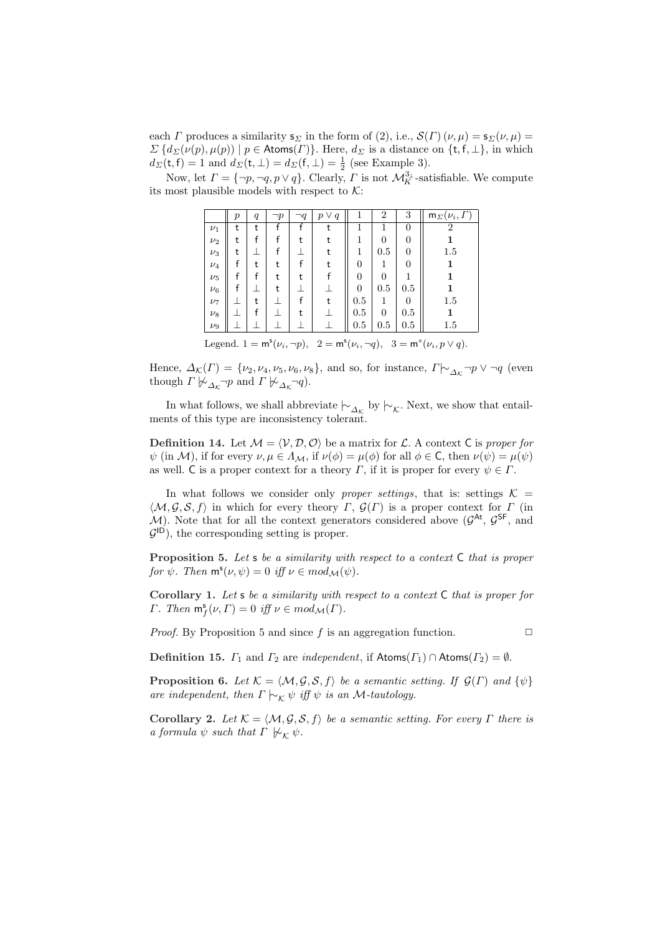each Γ produces a similarity  $s_{\Sigma}$  in the form of (2), i.e.,  $\mathcal{S}(\Gamma)(\nu,\mu) = s_{\Sigma}(\nu,\mu) =$  $\Sigma \{d_{\Sigma}(\nu(p), \mu(p)) \mid p \in \text{Atoms}(\Gamma)\}.$  Here,  $d_{\Sigma}$  is a distance on  $\{\text{t}, \text{f}, \perp\}$ , in which  $d_{\Sigma}(\mathsf{t},\mathsf{f})=1$  and  $d_{\Sigma}(\mathsf{t},\perp)=d_{\Sigma}(\mathsf{f},\perp)=\frac{1}{2}$  (see Example 3).

Now, let  $\Gamma = \{\neg p, \neg q, p \lor q\}$ . Clearly,  $\Gamma$  is not  $\mathcal{M}_{K}^{3_{\perp}}$ -satisfiable. We compute its most plausible models with respect to  $K$ :

|         | $\boldsymbol{p}$ | q | $\neg p$ | $\neg q$ | V<br>$\boldsymbol{p}$<br>q |                | $\overline{2}$ | 3                | $m_{\Sigma}(\nu_i,\Gamma)$ |
|---------|------------------|---|----------|----------|----------------------------|----------------|----------------|------------------|----------------------------|
| $\nu_1$ | t                | t | f        | f        | t                          | 1              | 1              | $\boldsymbol{0}$ | $\overline{2}$             |
| $\nu_2$ | t                | f | f        | t        |                            | 1              | $\overline{0}$ | $\boldsymbol{0}$ |                            |
| $\nu_3$ | t                |   | f        |          |                            | 1              | 0.5            | $\theta$         | 1.5                        |
| $\nu_4$ | f                | t | t        |          |                            | 0              | 1              | $\theta$         | 1                          |
| $\nu_5$ |                  | f | t        | t        |                            | 0              | $\overline{0}$ | 1                | 1                          |
| $\nu_6$ | f                |   | t        |          |                            | $\overline{0}$ | 0.5            | 0.5              | 1                          |
| $\nu_7$ |                  | t |          | f        | t                          | 0.5            | 1              | $\theta$         | 1.5                        |
| $\nu_8$ |                  | f |          | t        |                            | 0.5            | $\overline{0}$ | 0.5              | 1                          |
| $\nu_9$ |                  |   |          |          |                            | 0.5            | 0.5            | 0.5              | 1.5                        |

Legend.  $1 = m^{s}(\nu_{i}, -p), \quad 2 = m^{s}(\nu_{i}, -q), \quad 3 = m^{s}(\nu_{i}, p \vee q).$ 

Hence,  $\Delta_{\mathcal{K}}(\Gamma) = \{\nu_2, \nu_4, \nu_5, \nu_6, \nu_8\}$ , and so, for instance,  $\Gamma \vdash_{\Delta_{\mathcal{K}}} \neg p \lor \neg q$  (even though  $\Gamma \not\vdash_{\Delta_{\mathcal{K}}} \neg p$  and  $\Gamma \not\vdash_{\Delta_{\mathcal{K}}} \neg q$ .

In what follows, we shall abbreviate  $\vdash_{\Delta_{\mathcal{K}}}$  by  $\vdash_{\mathcal{K}}$ . Next, we show that entailments of this type are inconsistency tolerant.

**Definition 14.** Let  $M = \langle V, D, O \rangle$  be a matrix for L. A context C is proper for  $\psi$  (in M), if for every  $\nu, \mu \in \Lambda_{\mathcal{M}}$ , if  $\nu(\phi) = \mu(\phi)$  for all  $\phi \in \mathsf{C}$ , then  $\nu(\psi) = \mu(\psi)$ as well. C is a proper context for a theory  $\Gamma$ , if it is proper for every  $\psi \in \Gamma$ .

In what follows we consider only proper settings, that is: settings  $K =$  $\langle \mathcal{M}, \mathcal{G}, \mathcal{S}, f \rangle$  in which for every theory  $\Gamma$ ,  $\mathcal{G}(\Gamma)$  is a proper context for  $\Gamma$  (in M). Note that for all the context generators considered above  $(\mathcal{G}^{\mathsf{At}}, \mathcal{G}^{\mathsf{SF}}, \mathsf{and})$  $\mathcal{G}^{\mathsf{ID}}$ , the corresponding setting is proper.

Proposition 5. Let s be a similarity with respect to a context C that is proper for  $\psi$ . Then  $\mathsf{m}^{\mathsf{s}}(\nu,\psi) = 0$  iff  $\nu \in mod_{\mathcal{M}}(\psi)$ .

Corollary 1. Let  $s$  be a similarity with respect to a context  $C$  that is proper for *Γ*. *Then*  $\mathsf{m}_f^{\mathsf{s}}(\nu, \Gamma) = 0$  *iff*  $\nu \in \mathsf{mod}_{\mathcal{M}}(\Gamma)$ .

*Proof.* By Proposition 5 and since f is an aggregation function.  $\Box$ 

**Definition 15.**  $\Gamma_1$  and  $\Gamma_2$  are *independent*, if  $\text{Atoms}(\Gamma_1) \cap \text{Atoms}(\Gamma_2) = \emptyset$ .

**Proposition 6.** Let  $K = \langle M, \mathcal{G}, \mathcal{S}, f \rangle$  be a semantic setting. If  $\mathcal{G}(\Gamma)$  and  $\{\psi\}$ are independent, then  $\Gamma \vdash_K \psi$  iff  $\psi$  is an M-tautology.

Corollary 2. Let  $\mathcal{K} = \langle \mathcal{M}, \mathcal{G}, \mathcal{S}, f \rangle$  be a semantic setting. For every Γ there is a formula  $\psi$  such that  $\Gamma \not\vdash_{\mathcal{K}} \psi$ .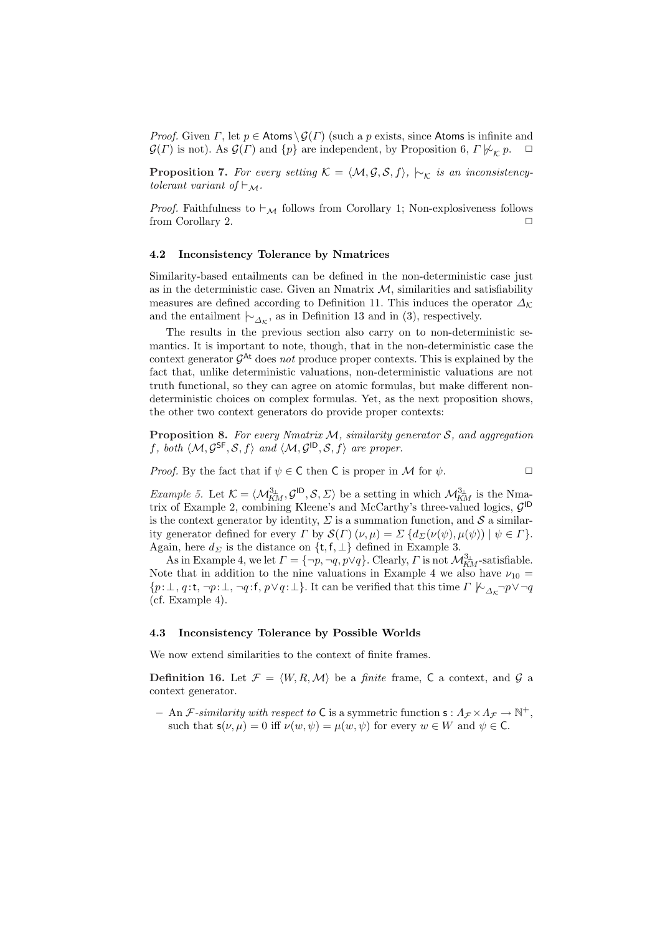*Proof.* Given  $\Gamma$ , let  $p \in$  Atoms  $\mathcal{G}(\Gamma)$  (such a p exists, since Atoms is infinite and  $\mathcal{G}(\Gamma)$  is not). As  $\mathcal{G}(\Gamma)$  and  $\{p\}$  are independent, by Proposition 6,  $\Gamma \not\vdash_{\mathcal{K}} p$ .  $\Box$ 

**Proposition 7.** For every setting  $\mathcal{K} = \langle \mathcal{M}, \mathcal{G}, \mathcal{S}, f \rangle$ ,  $\vert \sim_K$  is an inconsistencytolerant variant of  $\vdash_{\mathcal{M}}$ .

*Proof.* Faithfulness to  $\vdash_{\mathcal{M}}$  follows from Corollary 1; Non-explosiveness follows from Corollary 2.

#### 4.2 Inconsistency Tolerance by Nmatrices

Similarity-based entailments can be defined in the non-deterministic case just as in the deterministic case. Given an Nmatrix  $M$ , similarities and satisfiability measures are defined according to Definition 11. This induces the operator  $\Delta_{\mathcal{K}}$ and the entailment  $\vdash_{\Delta_{\mathcal{K}}}$ , as in Definition 13 and in (3), respectively.

The results in the previous section also carry on to non-deterministic semantics. It is important to note, though, that in the non-deterministic case the context generator  $\mathcal{G}^{\mathsf{At}}$  does not produce proper contexts. This is explained by the fact that, unlike deterministic valuations, non-deterministic valuations are not truth functional, so they can agree on atomic formulas, but make different nondeterministic choices on complex formulas. Yet, as the next proposition shows, the other two context generators do provide proper contexts:

**Proposition 8.** For every Nmatrix M, similarity generator  $S$ , and aggregation f, both  $\langle \mathcal{M}, \mathcal{G}^{\mathsf{SF}}, \mathcal{S}, f \rangle$  and  $\langle \mathcal{M}, \mathcal{G}^{\mathsf{ID}}, \mathcal{S}, f \rangle$  are proper.

*Proof.* By the fact that if  $\psi \in \mathsf{C}$  then  $\mathsf{C}$  is proper in  $\mathcal M$  for  $\psi$ .

Example 5. Let  $\mathcal{K} = \langle \mathcal{M}_{KM}^{3_{\perp}}, \mathcal{G}^{\mathsf{ID}}, \mathcal{S}, \Sigma \rangle$  be a setting in which  $\mathcal{M}_{KM}^{3_{\perp}}$  is the Nmatrix of Example 2, combining Kleene's and McCarthy's three-valued logics,  $\mathcal{G}^{\text{ID}}$ is the context generator by identity,  $\Sigma$  is a summation function, and  $S$  a similarity generator defined for every  $\Gamma$  by  $\mathcal{S}(\Gamma) (\nu, \mu) = \Sigma \{ d_{\Sigma}(\nu(\psi), \mu(\psi)) \mid \psi \in \Gamma \}.$ Again, here  $d_{\Sigma}$  is the distance on  $\{\text{t}, \text{f}, \perp\}$  defined in Example 3.

As in Example 4, we let  $\Gamma = \{\neg p, \neg q, p \lor q\}$ . Clearly,  $\Gamma$  is not  $\mathcal{M}_{KM}^{3_{\perp}}$ -satisfiable. Note that in addition to the nine valuations in Example 4 we also have  $\nu_{10} =$  $\{p:\bot,\,q:\mathsf{t},\,\neg p:\bot,\,\neg q:\mathsf{f},\,p\vee q:\bot\}$ . It can be verified that this time  $\Gamma\not\vdash_{\Delta_{\mathcal{K}}} \neg p\vee \neg q$ (cf. Example 4).

#### 4.3 Inconsistency Tolerance by Possible Worlds

We now extend similarities to the context of finite frames.

**Definition 16.** Let  $\mathcal{F} = \langle W, R, \mathcal{M} \rangle$  be a *finite* frame, C a context, and G a context generator.

 $-$  An  $\mathcal{F}\text{-}similarity$  with respect to C is a symmetric function  $\mathsf{s}: \Lambda_{\mathcal{F}} \times \Lambda_{\mathcal{F}} \to \mathbb{N}^+,$ such that  $\mathsf{s}(\nu,\mu) = 0$  iff  $\nu(w,\psi) = \mu(w,\psi)$  for every  $w \in W$  and  $\psi \in \mathsf{C}$ .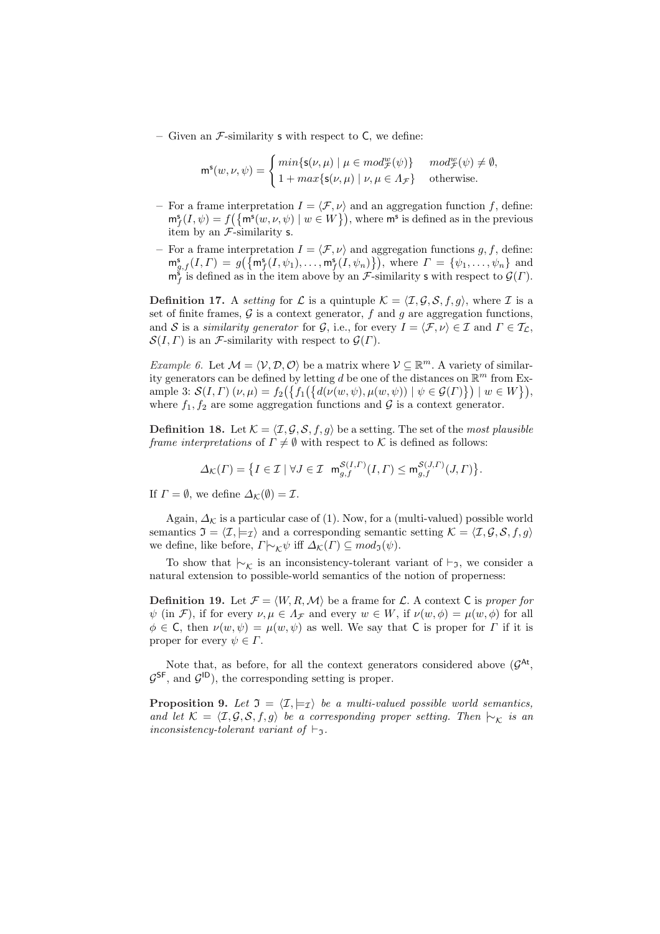– Given an  $\mathcal F$ -similarity **s** with respect to  $\mathsf C$ , we define:

$$
\mathsf{m}^{\mathsf{s}}(w,\nu,\psi) = \begin{cases} \min\{\mathsf{s}(\nu,\mu) \mid \mu \in \mathit{mod}_{\mathcal{F}}^w(\psi)\} & \mathit{mod}_{\mathcal{F}}^w(\psi) \neq \emptyset, \\ 1 + \max\{\mathsf{s}(\nu,\mu) \mid \nu,\mu \in \varLambda_{\mathcal{F}}\} & \text{otherwise.} \end{cases}
$$

- For a frame interpretation  $I = \langle \mathcal{F}, \nu \rangle$  and an aggregation function f, define: For a frame interpretation  $I = \langle \mathcal{F}, \nu \rangle$  and an aggregation function f, defined  $\mathfrak{m}^s_f(I, \psi) = f(\{\mathfrak{m}^s(w, \nu, \psi) \mid w \in W\})$ , where  $\mathfrak{m}^s$  is defined as in the previous item by an  $\mathcal{F}$ -similarity s.
- For a frame interpretation  $I = \langle \mathcal{F}, v \rangle$  and aggregation functions g, f, define: For a frame interpretation  $I = \langle \mathcal{F}, \nu \rangle$  and aggregation functions g, j, define:<br>  $m_{g,f}^{\mathsf{s}}(I,\Gamma) = g(\{m_f^{\mathsf{s}}(I,\psi_1),\ldots,m_f^{\mathsf{s}}(I,\psi_n)\}),$  where  $\Gamma = \{\psi_1,\ldots,\psi_n\}$  and  $\mathfrak{m}^{\mathfrak{F}}_f$  is defined as in the item above by an  $\mathcal{F}$ -similarity s with respect to  $\mathcal{G}(\Gamma)$ .

**Definition 17.** A setting for L is a quintuple  $\mathcal{K} = \langle I, \mathcal{G}, \mathcal{S}, f, g \rangle$ , where I is a set of finite frames,  $\mathcal G$  is a context generator, f and g are aggregation functions, and S is a similarity generator for G, i.e., for every  $I = \langle \mathcal{F}, \nu \rangle \in \mathcal{I}$  and  $\Gamma \in \mathcal{T}_\mathcal{L}$ ,  $\mathcal{S}(I,\Gamma)$  is an *F*-similarity with respect to  $\mathcal{G}(\Gamma)$ .

*Example 6.* Let  $M = \langle V, \mathcal{D}, \mathcal{O} \rangle$  be a matrix where  $V \subseteq \mathbb{R}^m$ . A variety of similarity generators can be defined by letting d be one of the distances on  $\mathbb{R}^m$  from Exty generators can be denned by letting a be one of the distances on  $\mathbb{R}^n$  from Example 3:  $\mathcal{S}(I,\Gamma)$   $(\nu,\mu) = f_2(\lbrace f_1(\lbrace d(\nu(w,\psi),\mu(w,\psi)) \mid \psi \in \mathcal{G}(\Gamma) \rbrace) \mid w \in W \rbrace)$ , where  $f_1, f_2$  are some aggregation functions and  $\mathcal G$  is a context generator.

**Definition 18.** Let  $K = \langle I, \mathcal{G}, \mathcal{S}, f, g \rangle$  be a setting. The set of the most plausible frame interpretations of  $\Gamma \neq \emptyset$  with respect to K is defined as follows:

$$
\Delta_{\mathcal{K}}(\Gamma) = \big\{ I \in \mathcal{I} \mid \forall J \in \mathcal{I} \quad \mathsf{m}_{g,f}^{\mathcal{S}(I,\Gamma)}(I,\Gamma) \leq \mathsf{m}_{g,f}^{\mathcal{S}(J,\Gamma)}(J,\Gamma) \big\}.
$$

If  $\Gamma = \emptyset$ , we define  $\Delta_{\mathcal{K}}(\emptyset) = \mathcal{I}$ .

Again,  $\Delta_{\mathcal{K}}$  is a particular case of (1). Now, for a (multi-valued) possible world semantics  $\mathfrak{I} = \langle \mathcal{I}, \models_{\mathcal{I}} \rangle$  and a corresponding semantic setting  $\mathcal{K} = \langle \mathcal{I}, \mathcal{G}, \mathcal{S}, f, g \rangle$ we define, like before,  $\Gamma \sim_{\mathcal{K}} \psi$  iff  $\Delta_{\mathcal{K}}(\Gamma) \subseteq \mathfrak{mod}_{\mathfrak{I}}(\psi)$ .

To show that  $\vdash_{\mathcal{K}}$  is an inconsistency-tolerant variant of  $\vdash_{\mathfrak{I}}$ , we consider a natural extension to possible-world semantics of the notion of properness:

**Definition 19.** Let  $\mathcal{F} = \langle W, R, \mathcal{M} \rangle$  be a frame for L. A context C is proper for  $\psi$  (in F), if for every  $\nu, \mu \in A_{\mathcal{F}}$  and every  $w \in W$ , if  $\nu(w, \phi) = \mu(w, \phi)$  for all  $\phi \in \mathsf{C}$ , then  $\nu(w, \psi) = \mu(w, \psi)$  as well. We say that **C** is proper for  $\Gamma$  if it is proper for every  $\psi \in \Gamma$ .

Note that, as before, for all the context generators considered above  $(\mathcal{G}^{\mathsf{At}},$  $\mathcal{G}^{\mathsf{SF}}$ , and  $\mathcal{G}^{\mathsf{ID}}$ ), the corresponding setting is proper.

**Proposition 9.** Let  $\mathfrak{I} = \langle \mathcal{I}, \models_{\mathcal{I}} \rangle$  be a multi-valued possible world semantics, and let  $\mathcal{K} = \langle \mathcal{I}, \mathcal{G}, \mathcal{S}, f, g \rangle$  be a corresponding proper setting. Then  $|~\sim_K$  is an inconsistency-tolerant variant of  $\vdash_{\mathfrak{I}}$ .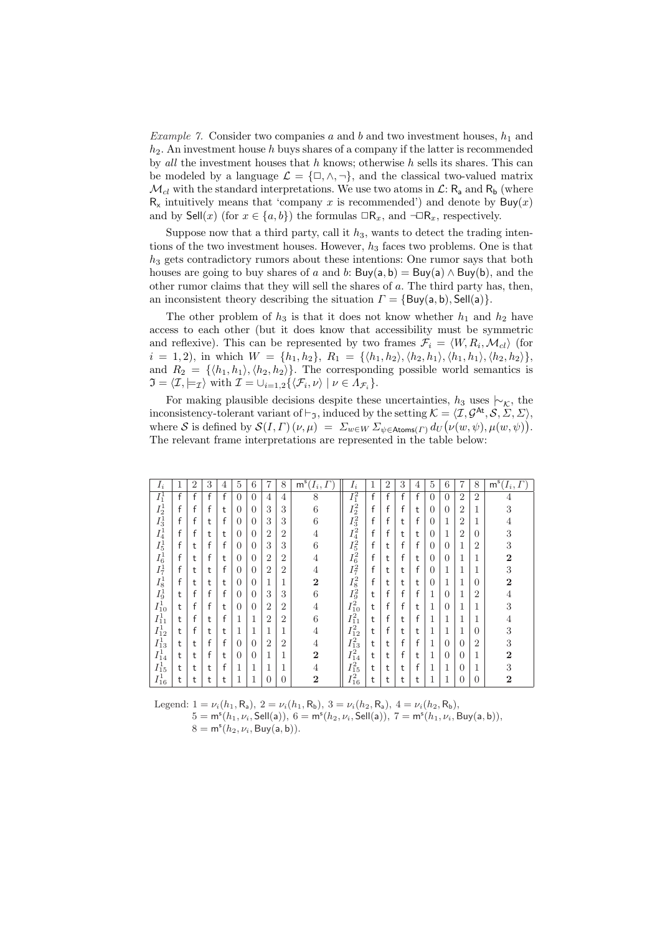Example 7. Consider two companies a and b and two investment houses,  $h_1$  and  $h_2$ . An investment house h buys shares of a company if the latter is recommended by all the investment houses that  $h$  knows; otherwise  $h$  sells its shares. This can be modeled by a language  $\mathcal{L} = {\{\Box, \wedge, \neg\}}$ , and the classical two-valued matrix  $\mathcal{M}_{cl}$  with the standard interpretations. We use two atoms in  $\mathcal{L}:$  R<sub>a</sub> and R<sub>b</sub> (where  $R_x$  intuitively means that 'company x is recommended') and denote by  $\text{Buy}(x)$ and by Sell(x) (for  $x \in \{a, b\}$ ) the formulas  $\Box R_x$ , and  $\neg \Box R_x$ , respectively.

Suppose now that a third party, call it  $h_3$ , wants to detect the trading intentions of the two investment houses. However,  $h_3$  faces two problems. One is that  $h_3$  gets contradictory rumors about these intentions: One rumor says that both houses are going to buy shares of a and b:  $\mathsf{Buy}(a, b) = \mathsf{Buy}(a) \wedge \mathsf{Buy}(b)$ , and the other rumor claims that they will sell the shares of  $a$ . The third party has, then, an inconsistent theory describing the situation  $\Gamma = \{ \mathsf{Buy}(a, b), \mathsf{Sell}(a) \}.$ 

The other problem of  $h_3$  is that it does not know whether  $h_1$  and  $h_2$  have access to each other (but it does know that accessibility must be symmetric and reflexive). This can be represented by two frames  $\mathcal{F}_i = \langle W, R_i, \mathcal{M}_{cl} \rangle$  (for  $i = 1, 2$ , in which  $W = \{h_1, h_2\}, R_1 = \{\langle h_1, h_2 \rangle, \langle h_2, h_1 \rangle, \langle h_1, h_1 \rangle, \langle h_2, h_2 \rangle\},$ and  $R_2 = \{ \langle h_1, h_1 \rangle, \langle h_2, h_2 \rangle \}.$  The corresponding possible world semantics is  $\mathfrak{I} = \langle \mathcal{I}, \models_{\mathcal{I}} \rangle \text{ with } \mathcal{I} = \cup_{i=1,2} \{ \langle \mathcal{F}_i, \nu \rangle \mid \nu \in \Lambda_{\mathcal{F}_i} \}.$ 

For making plausible decisions despite these uncertainties,  $h_3$  uses  $\vdash_K$ , the inconsistency-tolerant variant of  $\vdash_{\mathfrak{I}}$ , induced by the setting  $\mathcal{K} = \langle \mathcal{I}, \mathcal{G}^{\mathsf{At}}, \mathcal{S}, \Sigma, \Sigma \rangle$ , where S is defined by  $\mathcal{S}(I,\Gamma)(\nu,\mu) = \sum_{w \in W} \sum_{\psi \in \text{Atoms}(\Gamma)} d_U(\nu(w,\psi),\mu(w,\psi)).$ The relevant frame interpretations are represented in the table below:

| $I_i$                | 1 | $\overline{2}$ | 3 | 4 | 5        | 6        |                | 8              | $\overline{\mathsf{m}^{\mathsf{s}}}(I_i, \varGamma)$ | $I_i$                          | 1 | $\overline{2}$ | 3 | 4 | 5        | 6        | 7              | 8              | $\overline{\mathsf{m}^{\mathsf{s}}(I_i,\varGamma)}$ |
|----------------------|---|----------------|---|---|----------|----------|----------------|----------------|------------------------------------------------------|--------------------------------|---|----------------|---|---|----------|----------|----------------|----------------|-----------------------------------------------------|
| $I_1^1$              | f | f              | f | f | $\Omega$ | $\Omega$ | $\overline{4}$ | $\overline{4}$ | 8                                                    | $I_1^2$                        |   |                |   | f | $\theta$ | $\Omega$ | $\overline{2}$ | $\overline{2}$ | 4                                                   |
| $I_2^1$              | f |                |   | t | $\Omega$ | $\Omega$ | 3              | 3              | 6                                                    | $I_2^{\bar{2}}\ I_3^{\bar{2}}$ |   |                |   | t | 0        | $\Omega$ | $\overline{2}$ | 1              | 3                                                   |
| $I_3^1$              | f |                | t | f | $\Omega$ | $\Omega$ | 3              | 3              | 6                                                    |                                | f |                | t | f | 0        | 1        | $\overline{2}$ |                | 4                                                   |
| $I_4^1$              | f |                | t | t | $\Omega$ | $\Omega$ | $\overline{2}$ | $\overline{2}$ | 4                                                    | $I_4^2$                        |   |                | t | t | 0        | 1        | $\overline{2}$ | $\Omega$       | 3                                                   |
| $I_5^1$              | f | t              | f | f | $\Omega$ | $\Omega$ | 3              | 3              | 6                                                    | $I_5^2$                        | f | t              |   | f | 0        | $\Omega$ |                | $\overline{2}$ | 3                                                   |
| $I_6^1$              | f | t              | f | t | $\Omega$ | $\Omega$ | $\overline{2}$ | $\overline{2}$ | 4                                                    | $I_6^2$                        |   |                | f | t | 0        | $\theta$ |                |                | $\overline{2}$                                      |
| $I_7^1$              | f | t              |   | f | $\Omega$ | $\Omega$ | $\overline{2}$ | $\overline{2}$ | 4                                                    | $I_7^2$                        |   |                | t | f | 0        |          |                |                | 3                                                   |
| $I_8^1$              | f | t              | t | t | $\Omega$ | $\Omega$ | 1              | 1              | $\mathbf 2$                                          | $I_8^2$                        |   |                | t | t | 0        |          |                | $\Omega$       | $\bf{2}$                                            |
| $I_9^1$              | t |                |   | f | $\Omega$ | $\Omega$ | 3              | 3              | 6                                                    | $I_9^2$                        | t |                |   | f | 1        | $\theta$ |                | $\overline{2}$ | $\overline{4}$                                      |
| $I^{\dot 1}_{10}$    | t |                | f | t | $\Omega$ | $\Omega$ | $\overline{2}$ | $\overline{2}$ | 4                                                    | $I^{\check{2}}_{10}$           | t |                | f | t |          | $\Omega$ |                |                | 3                                                   |
| $I_{11}^1$           | t | f              | t | f |          |          | $\overline{2}$ | $\overline{2}$ | 6                                                    | ${\cal I}^2_{11}$              | t |                | t | f |          |          |                |                | 4                                                   |
| $I_{12}^1$           | t |                |   | t |          |          |                | 1              | 4                                                    | ${\cal I}^2_{12}$              | t |                | t | t | 1        |          |                | $\Omega$       | 3                                                   |
| $I_{13}^1$           | t | t              | f | f | $\Omega$ | $\Omega$ | $\overline{2}$ | $\overline{2}$ | 4                                                    |                                | t |                |   | f |          | $\theta$ | $\Omega$       | $\overline{2}$ | 3                                                   |
| $I_{14}^1$           | t | t              | f | t | $\Omega$ | $\Omega$ |                | 1              | $\overline{2}$                                       | $I_{13}^2$<br>$I_{14}^2$       | t |                | f | t | 1        | $\theta$ | $\Omega$       |                | $\overline{2}$                                      |
| $\mathcal{I}^1_{15}$ | t | t              | t | f |          |          | 1              | 1              | 4                                                    | $I^2_{15}$                     | t | t              | t | f |          | 1        | $\Omega$       |                | 3                                                   |
| $\mathcal{I}^1_{16}$ | t |                |   | t |          |          | $\theta$       | $\theta$       | $\overline{2}$                                       | ${\cal I}^2_{16}$              | t |                | t | t |          | 1        | $\Omega$       | $\Omega$       | $\bf{2}$                                            |

Legend:  $1 = \nu_i(h_1, R_a), 2 = \nu_i(h_1, R_b), 3 = \nu_i(h_2, R_a), 4 = \nu_i(h_2, R_b),$ 

 $5 = m^{s}(h_1, \nu_i, \textsf{Sell(a)}), 6 = m^{s}(h_2, \nu_i, \textsf{Sell(a)}), 7 = m^{s}(h_1, \nu_i, \textsf{Buy(a, b)}),$  $8 = m^{s}(h_2, \nu_i, \text{Buy}(a, b)).$